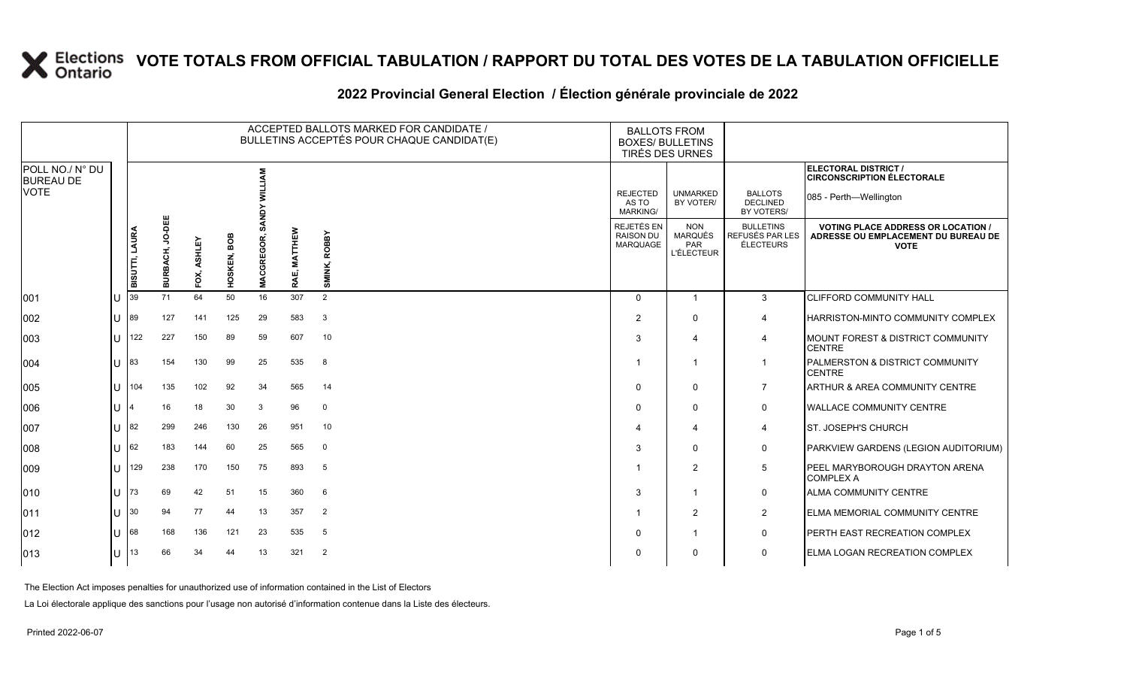### **2022 Provincial General Election / Élection générale provinciale de 2022**

|                                     |    |                       |                           |                |                |               | ACCEPTED BALLOTS MARKED FOR CANDIDATE /<br>BULLETINS ACCEPTÉS POUR CHAQUE CANDIDAT(E) | <b>BALLOTS FROM</b><br><b>BOXES/ BULLETINS</b><br>TIRÉS DES URNES |                                                   |                                                          |                                                         |                                                                                                 |
|-------------------------------------|----|-----------------------|---------------------------|----------------|----------------|---------------|---------------------------------------------------------------------------------------|-------------------------------------------------------------------|---------------------------------------------------|----------------------------------------------------------|---------------------------------------------------------|-------------------------------------------------------------------------------------------------|
| POLL NO./ N° DU<br><b>BUREAU DE</b> |    |                       |                           |                |                |               |                                                                                       |                                                                   |                                                   |                                                          |                                                         | ELECTORAL DISTRICT /<br><b>CIRCONSCRIPTION ÉLECTORALE</b>                                       |
| <b>VOTE</b>                         |    |                       |                           |                |                |               |                                                                                       |                                                                   | <b>REJECTED</b><br>AS TO<br><b>MARKING/</b>       | <b>UNMARKED</b><br>BY VOTER/                             | <b>BALLOTS</b><br><b>DECLINED</b><br>BY VOTERS/         | 085 - Perth—Wellington                                                                          |
|                                     |    | <b>BISUTTI, LAURA</b> | <b>JO-DEE</b><br>BURBACH, | ASHLEY<br>FOX, | BOB<br>HOSKEN, | GREGOR<br>MAC | MATTHEW<br>RAE,                                                                       | <b>ROBBY</b><br>SMINK,                                            | REJETÉS EN<br><b>RAISON DU</b><br><b>MARQUAGE</b> | <b>NON</b><br><b>MARQUÉS</b><br>PAR<br><b>L'ÉLECTEUR</b> | <b>BULLETINS</b><br>REFUSÉS PAR LES<br><b>ÉLECTEURS</b> | <b>VOTING PLACE ADDRESS OR LOCATION /</b><br>ADRESSE OU EMPLACEMENT DU BUREAU DE<br><b>VOTE</b> |
| 001                                 | ΙU | 39                    | 71                        | 64             | 50             | 16            | 307                                                                                   | 2                                                                 | $\Omega$                                          | $\overline{1}$                                           | $\mathbf{3}$                                            | <b>CLIFFORD COMMUNITY HALL</b>                                                                  |
| 002                                 | lU | 89                    | 127                       | 141            | 125            | 29            | 583                                                                                   | 3                                                                 | $\overline{2}$                                    | $\Omega$                                                 | $\overline{4}$                                          | HARRISTON-MINTO COMMUNITY COMPLEX                                                               |
| 003                                 | lu | 122                   | 227                       | 150            | 89             | 59            | 607                                                                                   | 10                                                                | 3                                                 | $\boldsymbol{\Delta}$                                    | $\overline{\mathcal{A}}$                                | MOUNT FOREST & DISTRICT COMMUNITY<br><b>CENTRE</b>                                              |
| 004                                 | ΙU | 83                    | 154                       | 130            | 99             | 25            | 535                                                                                   | 8                                                                 |                                                   | -1                                                       |                                                         | PALMERSTON & DISTRICT COMMUNITY<br><b>CENTRE</b>                                                |
| 005                                 | lθ | 104                   | 135                       | 102            | 92             | 34            | 565                                                                                   | 14                                                                | $\Omega$                                          | $\Omega$                                                 | $\overline{7}$                                          | ARTHUR & AREA COMMUNITY CENTRE                                                                  |
| 006                                 | IП | 4                     | 16                        | 18             | 30             | 3             | 96                                                                                    | $\mathbf 0$                                                       | $\Omega$                                          | 0                                                        | $\mathbf 0$                                             | <b>WALLACE COMMUNITY CENTRE</b>                                                                 |
| 007                                 | lu | 82                    | 299                       | 246            | 130            | 26            | 951                                                                                   | 10                                                                |                                                   | $\overline{4}$                                           | $\overline{4}$                                          | <b>ST. JOSEPH'S CHURCH</b>                                                                      |
| 008                                 | IП | 62                    | 183                       | 144            | 60             | 25            | 565                                                                                   | $\mathbf 0$                                                       | 3                                                 | $\Omega$                                                 | $\mathbf 0$                                             | PARKVIEW GARDENS (LEGION AUDITORIUM)                                                            |
| 009                                 | U  | 129                   | 238                       | 170            | 150            | 75            | 893                                                                                   | 5                                                                 |                                                   | $\overline{2}$                                           | 5                                                       | PEEL MARYBOROUGH DRAYTON ARENA<br><b>COMPLEX A</b>                                              |
| $ 010\rangle$                       | lU | 73                    | 69                        | 42             | 51             | 15            | 360                                                                                   | 6                                                                 | 3                                                 | -1                                                       | $\mathbf 0$                                             | <b>ALMA COMMUNITY CENTRE</b>                                                                    |
| $ 011\rangle$                       | lu | 30                    | 94                        | 77             | 44             | 13            | 357                                                                                   | $\overline{2}$                                                    |                                                   | $\overline{2}$                                           | $\overline{2}$                                          | ELMA MEMORIAL COMMUNITY CENTRE                                                                  |
| $ 012\rangle$                       | IU | 68                    | 168                       | 136            | 121            | 23            | 535                                                                                   | 5                                                                 | $\mathbf 0$                                       |                                                          | 0                                                       | PERTH EAST RECREATION COMPLEX                                                                   |
| $ 013\rangle$                       | lU | 13                    | 66                        | 34             | 44             | 13            | 321                                                                                   | 2                                                                 | $\Omega$                                          | 0                                                        | $\mathbf 0$                                             | ELMA LOGAN RECREATION COMPLEX                                                                   |

The Election Act imposes penalties for unauthorized use of information contained in the List of Electors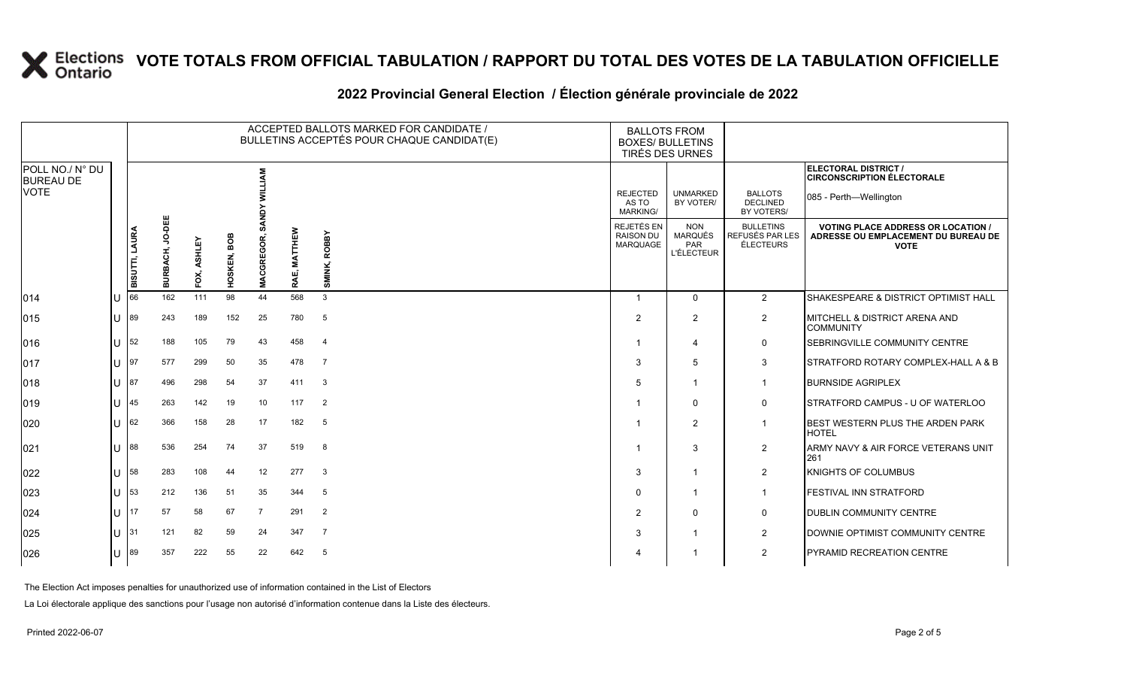### **2022 Provincial General Election / Élection générale provinciale de 2022**

|                                     |                                      |                       |                    |                |                       |                  | ACCEPTED BALLOTS MARKED FOR CANDIDATE /<br>BULLETINS ACCEPTÉS POUR CHAQUE CANDIDAT(E) | <b>BALLOTS FROM</b><br><b>BOXES/ BULLETINS</b><br><b>TIRÉS DES URNES</b> |                                                   |                                                                 |                                                         |                                                                                                 |
|-------------------------------------|--------------------------------------|-----------------------|--------------------|----------------|-----------------------|------------------|---------------------------------------------------------------------------------------|--------------------------------------------------------------------------|---------------------------------------------------|-----------------------------------------------------------------|---------------------------------------------------------|-------------------------------------------------------------------------------------------------|
| POLL NO./ N° DU<br><b>BUREAU DE</b> |                                      |                       |                    |                |                       | Š                |                                                                                       |                                                                          |                                                   |                                                                 |                                                         | ELECTORAL DISTRICT /<br><b>CIRCONSCRIPTION ÉLECTORALE</b>                                       |
| <b>VOTE</b>                         |                                      |                       |                    |                |                       |                  |                                                                                       |                                                                          | <b>REJECTED</b><br>AS TO<br><b>MARKING/</b>       | <b>UNMARKED</b><br>BY VOTER/                                    | <b>BALLOTS</b><br><b>DECLINED</b><br>BY VOTERS/         | 085 - Perth-Wellington                                                                          |
|                                     |                                      | <b>BISUTTI, LAURA</b> | JO-DEE<br>BURBACH, | ASHLEY<br>FOX, | <b>BOB</b><br>HOSKEN, | GREGOR<br>ō<br>Š | MATTHEW<br>RAE,                                                                       | <b>ROBBY</b><br>SMINK,                                                   | REJETÉS EN<br><b>RAISON DU</b><br><b>MARQUAGE</b> | <b>NON</b><br><b>MARQUÉS</b><br><b>PAR</b><br><b>L'ÉLECTEUR</b> | <b>BULLETINS</b><br>REFUSÉS PAR LES<br><b>ÉLECTEURS</b> | <b>VOTING PLACE ADDRESS OR LOCATION /</b><br>ADRESSE OU EMPLACEMENT DU BUREAU DE<br><b>VOTE</b> |
| 014                                 | lU                                   | 66                    | 162                | 111            | 98                    | 44               | 568                                                                                   | 3                                                                        | $\overline{1}$                                    | $\Omega$                                                        | 2                                                       | SHAKESPEARE & DISTRICT OPTIMIST HALL                                                            |
| $ 015\rangle$                       | lU                                   | 89                    | 243                | 189            | 152                   | 25               | 780                                                                                   | 5                                                                        | 2                                                 | $\overline{2}$                                                  | $\overline{2}$                                          | MITCHELL & DISTRICT ARENA AND<br><b>COMMUNITY</b>                                               |
| 016                                 | lU                                   | 52                    | 188                | 105            | 79                    | 43               | 458                                                                                   | $\overline{4}$                                                           |                                                   | $\boldsymbol{\Delta}$                                           | $\mathbf 0$                                             | SEBRINGVILLE COMMUNITY CENTRE                                                                   |
| 017                                 | lU.                                  | 97                    | 577                | 299            | 50                    | 35               | 478                                                                                   | $\overline{7}$                                                           | 3                                                 | 5                                                               | 3                                                       | STRATFORD ROTARY COMPLEX-HALL A & B                                                             |
| $ 018\rangle$                       | IП                                   | 87                    | 496                | 298            | 54                    | 37               | 411                                                                                   | 3                                                                        | 5                                                 |                                                                 | $\mathbf{1}$                                            | <b>BURNSIDE AGRIPLEX</b>                                                                        |
| $ 019\rangle$                       | lU                                   | 45                    | 263                | 142            | 19                    | 10               | 117                                                                                   | 2                                                                        |                                                   | $\Omega$                                                        | $\mathbf 0$                                             | STRATFORD CAMPUS - U OF WATERLOO                                                                |
| 020                                 | ΙU                                   | 62                    | 366                | 158            | 28                    | 17               | 182                                                                                   | 5                                                                        |                                                   | $\overline{2}$                                                  | $\overline{1}$                                          | BEST WESTERN PLUS THE ARDEN PARK<br><b>HOTEL</b>                                                |
| 021                                 | lU                                   | 88                    | 536                | 254            | 74                    | 37               | 519                                                                                   | 8                                                                        |                                                   | 3                                                               | $\overline{2}$                                          | ARMY NAVY & AIR FORCE VETERANS UNIT<br>261                                                      |
| 022                                 | lU                                   | 58                    | 283                | 108            | 44                    | 12               | 277                                                                                   | 3                                                                        | 3                                                 |                                                                 | $\overline{2}$                                          | KNIGHTS OF COLUMBUS                                                                             |
| 023                                 | ΙU                                   | 53                    | 212                | 136            | 51                    | 35               | 344                                                                                   | 5                                                                        | $\Omega$                                          | -1                                                              | $\overline{1}$                                          | FESTIVAL INN STRATFORD                                                                          |
| 024                                 | lθ                                   | 17                    | 57                 | 58             | 67                    | $\overline{7}$   | 291                                                                                   | $\overline{2}$                                                           | 2                                                 | $\Omega$                                                        | $\mathbf 0$                                             | DUBLIN COMMUNITY CENTRE                                                                         |
| 025                                 | $\lfloor \lfloor \rfloor \rfloor$ 31 |                       | 121                | 82             | 59                    | 24               | 347                                                                                   | $\overline{7}$                                                           | 3                                                 |                                                                 | $\overline{2}$                                          | DOWNIE OPTIMIST COMMUNITY CENTRE                                                                |
| 026                                 | U                                    | 89                    | 357                | 222            | 55                    | 22               | 642                                                                                   | 5                                                                        |                                                   |                                                                 | $\overline{2}$                                          | PYRAMID RECREATION CENTRE                                                                       |

The Election Act imposes penalties for unauthorized use of information contained in the List of Electors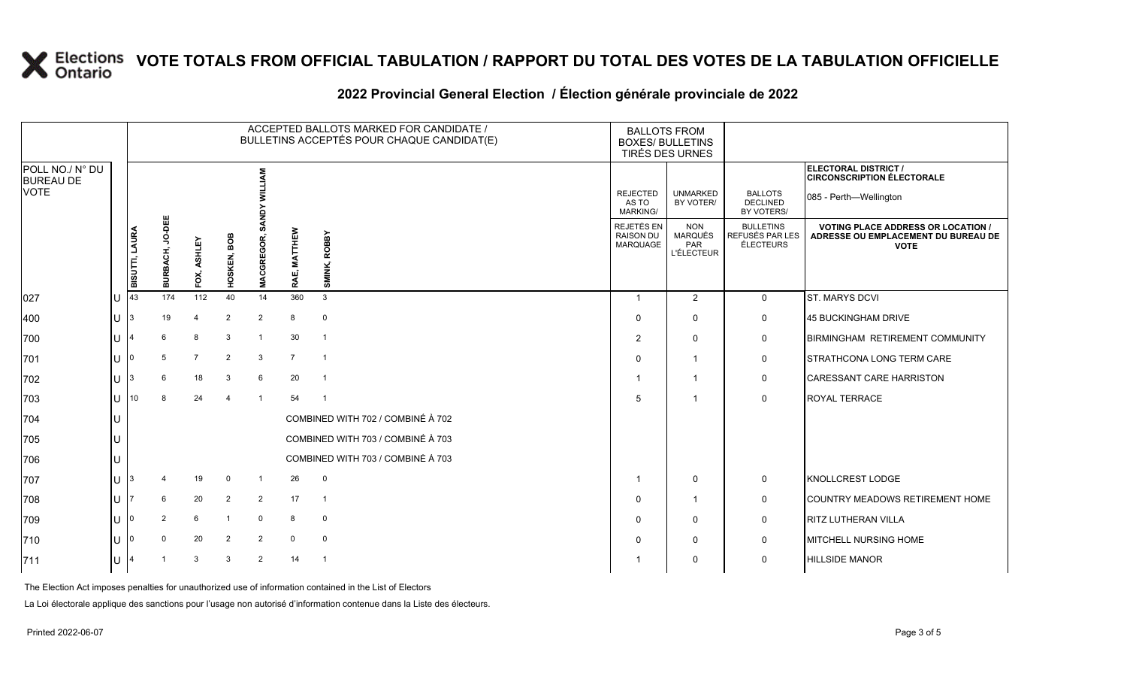### **2022 Provincial General Election / Élection générale provinciale de 2022**

|                                     |        |                       |                    |                |                |                             |                  | ACCEPTED BALLOTS MARKED FOR CANDIDATE /<br>BULLETINS ACCEPTÉS POUR CHAQUE CANDIDAT(E) | <b>BALLOTS FROM</b><br><b>BOXES/ BULLETINS</b> | TIRÉS DES URNES                                   |                                                  |                                                                                                 |
|-------------------------------------|--------|-----------------------|--------------------|----------------|----------------|-----------------------------|------------------|---------------------------------------------------------------------------------------|------------------------------------------------|---------------------------------------------------|--------------------------------------------------|-------------------------------------------------------------------------------------------------|
| POLL NO./ N° DU<br><b>BUREAU DE</b> |        |                       |                    |                |                | ξ                           |                  |                                                                                       |                                                |                                                   |                                                  | ELECTORAL DISTRICT /<br><b>CIRCONSCRIPTION ÉLECTORALE</b>                                       |
| VOTE                                |        |                       |                    |                |                |                             |                  |                                                                                       | <b>REJECTED</b><br>AS TO<br><b>MARKING/</b>    | <b>UNMARKED</b><br>BY VOTER/                      | <b>BALLOTS</b><br><b>DECLINED</b><br>BY VOTERS/  | 085 - Perth-Wellington                                                                          |
|                                     |        | <b>BISUTTI, LAURA</b> | JO-DEE<br>BURBACH, | FOX, ASHLEY    | HOSKEN, BOB    | ¶<br>ब<br><b>MACGREGOR,</b> | E, MATTHEW<br>RΑ | <b>ROBBY</b><br>SMINK,                                                                | REJETÉS EN<br><b>RAISON DU</b><br>MARQUAGE     | <b>NON</b><br><b>MARQUÉS</b><br>PAR<br>L'ÉLECTEUR | <b>BULLETINS</b><br>REFUSÉS PAR LES<br>ÉLECTEURS | <b>VOTING PLACE ADDRESS OR LOCATION /</b><br>ADRESSE OU EMPLACEMENT DU BUREAU DE<br><b>VOTE</b> |
| 027                                 |        | 43                    | 174                | 112            | 40             | 14                          | 360              | $\mathbf{3}$                                                                          |                                                | 2                                                 | $\mathbf 0$                                      | <b>ST. MARYS DCVI</b>                                                                           |
| 400                                 | U      | 3                     | 19                 | 4              | 2              | $\overline{2}$              | 8                | $\mathbf 0$                                                                           | $\Omega$                                       | $\mathbf 0$                                       | 0                                                | 45 BUCKINGHAM DRIVE                                                                             |
| 700                                 |        |                       | 6                  | 8              | 3              | $\overline{1}$              | 30               | $\overline{1}$                                                                        | $\overline{2}$                                 | $\mathbf 0$                                       | 0                                                | <b>BIRMINGHAM RETIREMENT COMMUNITY</b>                                                          |
| 701                                 |        | I٥                    | 5                  | $\overline{7}$ | 2              | $\mathbf{3}$                | $\overline{7}$   | $\overline{1}$                                                                        | $\Omega$                                       | $\overline{1}$                                    | 0                                                | <b>STRATHCONA LONG TERM CARE</b>                                                                |
| 702                                 | Ü      |                       | 6                  | 18             | 3              | 6                           | 20               | $\overline{1}$                                                                        |                                                | $\overline{\mathbf{1}}$                           | 0                                                | <b>CARESSANT CARE HARRISTON</b>                                                                 |
| 703                                 | $\cup$ | 10 <sup>10</sup>      | 8                  | 24             | $\overline{4}$ | $\overline{1}$              | 54               | $\overline{1}$                                                                        | 5                                              | $\overline{1}$                                    | $\mathbf 0$                                      | <b>ROYAL TERRACE</b>                                                                            |
| 704                                 |        |                       |                    |                |                |                             |                  | COMBINED WITH 702 / COMBINÉ À 702                                                     |                                                |                                                   |                                                  |                                                                                                 |
| 705                                 |        |                       |                    |                |                |                             |                  | COMBINED WITH 703 / COMBINÉ À 703                                                     |                                                |                                                   |                                                  |                                                                                                 |
| 706                                 |        |                       |                    |                |                |                             |                  | COMBINED WITH 703 / COMBINÉ À 703                                                     |                                                |                                                   |                                                  |                                                                                                 |
| 707                                 | U      |                       |                    | 19             | $\mathbf{0}$   | $\overline{1}$              | 26               | $\mathbf 0$                                                                           |                                                | $\mathbf 0$                                       | 0                                                | KNOLLCREST LODGE                                                                                |
| 708                                 |        |                       | 6                  | 20             | 2              | $\overline{2}$              | 17               | $\overline{1}$                                                                        | $\Omega$                                       | $\overline{1}$                                    | 0                                                | COUNTRY MEADOWS RETIREMENT HOME                                                                 |
| 709                                 |        | I٥                    | $\overline{2}$     | 6              |                | $\mathbf 0$                 | 8                | $\mathbf 0$                                                                           | $\Omega$                                       | $\mathbf 0$                                       | 0                                                | <b>RITZ LUTHERAN VILLA</b>                                                                      |
| 710                                 |        |                       | $\Omega$           | 20             | 2              | $\overline{2}$              | $\mathbf 0$      | $\mathbf 0$                                                                           |                                                | $\mathbf 0$                                       | 0                                                | <b>MITCHELL NURSING HOME</b>                                                                    |
| 711                                 |        |                       |                    | 3              | 3              | 2                           | 14               | $\overline{1}$                                                                        |                                                | $\mathbf 0$                                       | $\mathbf 0$                                      | <b>HILLSIDE MANOR</b>                                                                           |

The Election Act imposes penalties for unauthorized use of information contained in the List of Electors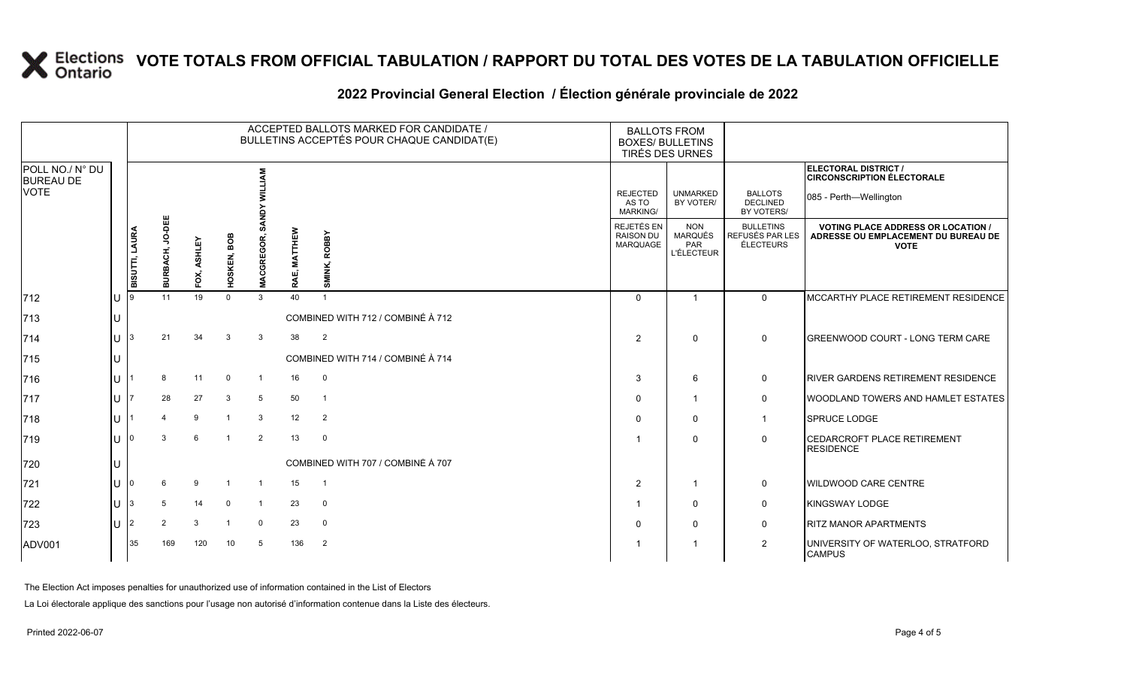|                                                    |              | ACCEPTED BALLOTS MARKED FOR CANDIDATE /<br>BULLETINS ACCEPTÉS POUR CHAQUE CANDIDAT(E) |                    |             |                |                  |                          |                                   |                                             | <b>BALLOTS FROM</b><br><b>BOXES/ BULLETINS</b><br><b>TIRÉS DES URNES</b> |                                                  |                                                                                                 |
|----------------------------------------------------|--------------|---------------------------------------------------------------------------------------|--------------------|-------------|----------------|------------------|--------------------------|-----------------------------------|---------------------------------------------|--------------------------------------------------------------------------|--------------------------------------------------|-------------------------------------------------------------------------------------------------|
| POLL NO./ N° DU<br><b>BUREAU DE</b><br><b>VOTE</b> |              |                                                                                       |                    |             |                |                  |                          |                                   | <b>REJECTED</b><br>AS TO<br><b>MARKING/</b> | <b>UNMARKED</b><br>BY VOTER/                                             | <b>BALLOTS</b><br>DECLINED<br>BY VOTERS/         | <b>ELECTORAL DISTRICT /</b><br><b>CIRCONSCRIPTION ÉLECTORALE</b><br>085 - Perth-Wellington      |
|                                                    |              | <b>BISUTTI, LAURA</b>                                                                 | JO-DEE<br>BURBACH, | FOX, ASHLEY | HOSKEN, BOB    | <b>MACGREGOR</b> | <b>MATTHEW</b><br>RAE, I | SMINK, ROBBY                      | REJETÉS EN<br><b>RAISON DU</b><br>MARQUAGE  | <b>NON</b><br>MARQUÉS<br>PAR<br><b>L'ÉLECTEUR</b>                        | <b>BULLETINS</b><br>REFUSÉS PAR LES<br>ÉLECTEURS | <b>VOTING PLACE ADDRESS OR LOCATION /</b><br>ADRESSE OU EMPLACEMENT DU BUREAU DE<br><b>VOTE</b> |
| 712                                                |              |                                                                                       | 11                 | 19          | $\Omega$       | $\mathbf{3}$     | 40                       |                                   | $\Omega$                                    | $\overline{\mathbf{1}}$                                                  | $\mathbf{0}$                                     | MCCARTHY PLACE RETIREMENT RESIDENCE                                                             |
| 713                                                |              |                                                                                       |                    |             |                |                  |                          | COMBINED WITH 712 / COMBINÉ À 712 |                                             |                                                                          |                                                  |                                                                                                 |
| 714                                                | $\mathbf{H}$ |                                                                                       | 21                 | 34          | 3              | 3                | 38                       | $\overline{2}$                    | 2                                           | $\Omega$                                                                 | $\mathbf 0$                                      | <b>IGREENWOOD COURT - LONG TERM CARE</b>                                                        |
| 715                                                |              |                                                                                       |                    |             |                |                  |                          | COMBINED WITH 714 / COMBINÉ À 714 |                                             |                                                                          |                                                  |                                                                                                 |
| 716                                                |              |                                                                                       | 8                  | 11          | $\overline{0}$ | $\overline{1}$   | 16                       | 0                                 | 3                                           | 6                                                                        | 0                                                | <b>RIVER GARDENS RETIREMENT RESIDENCE</b>                                                       |
| 717                                                |              |                                                                                       | 28                 | 27          | $\mathbf{3}$   | $5\phantom{.0}$  | 50                       | $\overline{1}$                    | $\Omega$                                    | 1                                                                        | $\mathbf 0$                                      | <b>IWOODLAND TOWERS AND HAMLET ESTATES</b>                                                      |
| 718                                                |              |                                                                                       | $\mathbf 4$        | 9           | $\overline{1}$ | 3                | 12                       | 2                                 | $\Omega$                                    | 0                                                                        | -1                                               | SPRUCE LODGE                                                                                    |
| 719                                                |              |                                                                                       | 3                  | 6           | $\overline{1}$ | 2                | 13                       | $\mathbf 0$                       |                                             | $\mathbf{0}$                                                             | 0                                                | <b>ICEDARCROFT PLACE RETIREMENT</b><br><b>RESIDENCE</b>                                         |
| 720                                                |              |                                                                                       |                    |             |                |                  |                          | COMBINED WITH 707 / COMBINÉ À 707 |                                             |                                                                          |                                                  |                                                                                                 |
| 721                                                |              |                                                                                       |                    | 9           | $\overline{1}$ | $\overline{1}$   | 15                       | $\overline{1}$                    | 2                                           | $\overline{1}$                                                           | 0                                                | <b>WILDWOOD CARE CENTRE</b>                                                                     |
| 722                                                |              |                                                                                       | 5                  | 14          | $\mathbf 0$    | $\overline{1}$   | 23                       | $\mathbf 0$                       |                                             | $\mathbf 0$                                                              | 0                                                | <b>KINGSWAY LODGE</b>                                                                           |
| 723                                                | $\mathbf{U}$ | 2                                                                                     | $\overline{2}$     | 3           | -1             | $\mathbf 0$      | 23                       | $\mathbf 0$                       | $\Omega$                                    | 0                                                                        | 0                                                | <b>RITZ MANOR APARTMENTS</b>                                                                    |
| ADV001                                             |              | 35                                                                                    | 169                | 120         | 10             | 5                | 136                      | $\overline{2}$                    |                                             | -1                                                                       | $\overline{2}$                                   | UNIVERSITY OF WATERLOO, STRATFORD<br><b>CAMPUS</b>                                              |

### **2022 Provincial General Election / Élection générale provinciale de 2022**

The Election Act imposes penalties for unauthorized use of information contained in the List of Electors

La Loi électorale applique des sanctions pour l'usage non autorisé d'information contenue dans la Liste des électeurs.